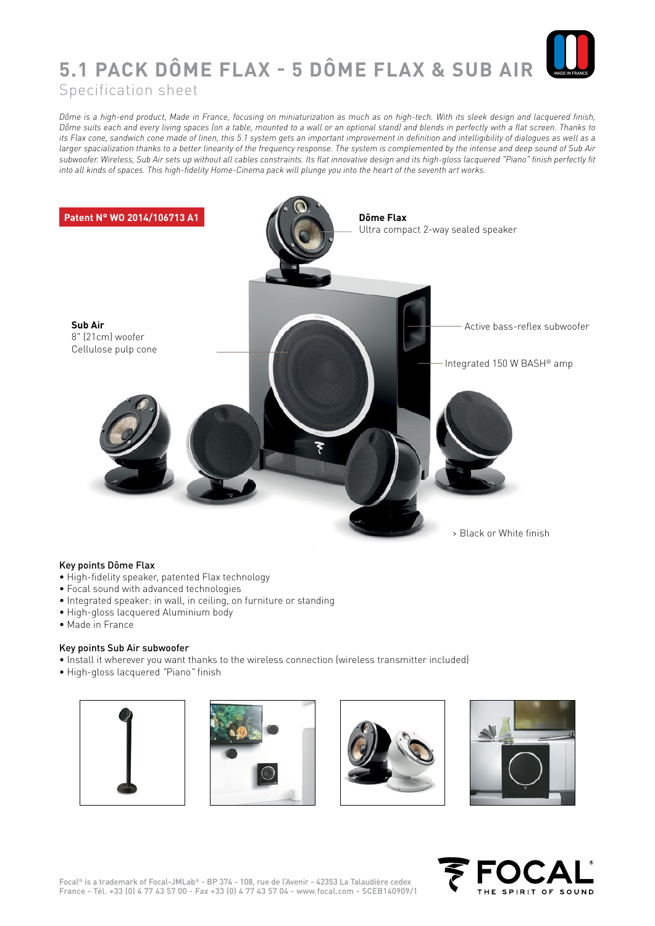

## **5.1 PACK DÔME FLAX - 5 DÔME FLAX & SUB AIR**

Specification sheet

*Dôme is a high-end product, Made in France, focusing on miniaturization as much as on high-tech. With its sleek design and lacquered finish, Dôme suits each and every living spaces (on a table, mounted to a wall or an optional stand) and blends in perfectly with a flat screen. Thanks to its Flax cone, sandwich cone made of linen, this 5.1 system gets an important improvement in definition and intelligibility of dialogues as well as a larger spacialization thanks to a better linearity of the frequency response. The system is complemented by the intense and deep sound of Sub Air subwoofer. Wireless, Sub Air sets up without all cables constraints. Its flat innovative design and its high-gloss lacquered "Piano" finish perfectly fit into all kinds of spaces. This high-fidelity Home-Cinema pack will plunge you into the heart of the seventh art works.*



## Key points Dôme Flax

- High-fidelity speaker, patented Flax technology
- Focal sound with advanced technologies
- Integrated speaker: in wall, in ceiling, on furniture or standing
- High-gloss lacquered Aluminium body
- Made in France

## Key points Sub Air subwoofer

- Install it wherever you want thanks to the wireless connection (wireless transmitter included)
- High-gloss lacquered *"*Piano*"* finish